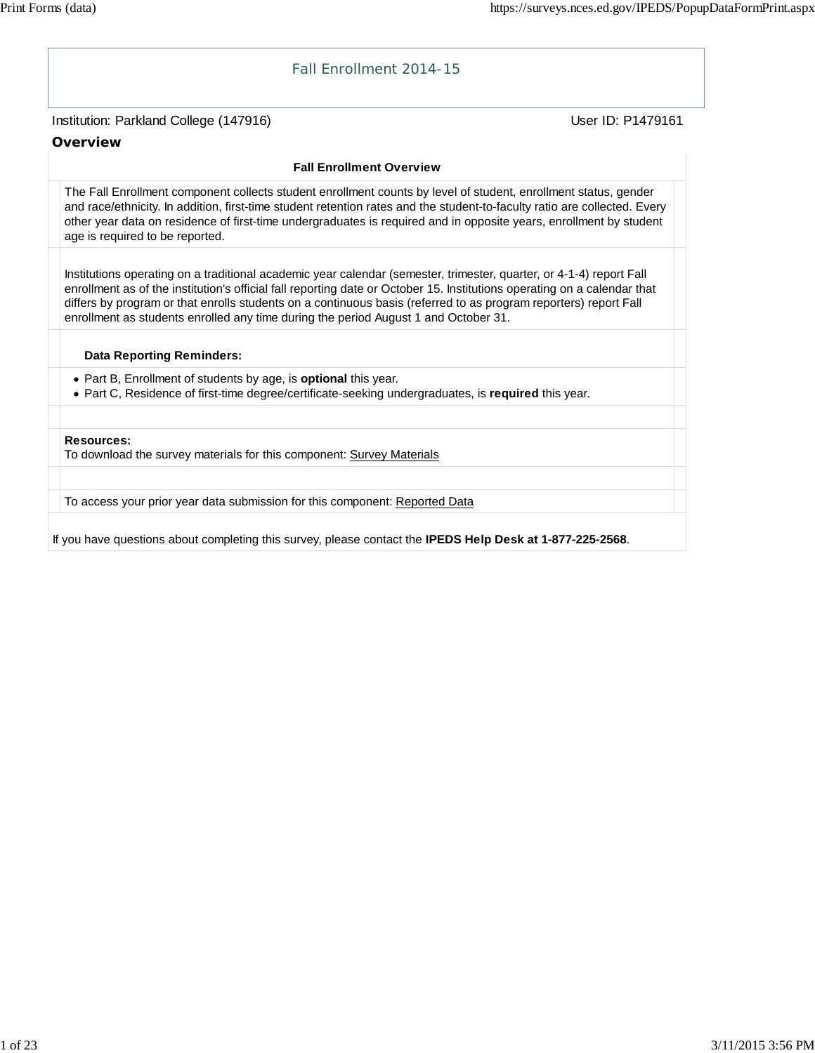# Institution: Parkland College (147916) November 2012 12: Physics User ID: P1479161 Fall Enrollment 2014-15 **Overview Fall Enrollment Overview** The Fall Enrollment component collects student enrollment counts by level of student, enrollment status, gender and race/ethnicity. In addition, first-time student retention rates and the student-to-faculty ratio are collected. Every other year data on residence of first-time undergraduates is required and in opposite years, enrollment by student age is required to be reported. Institutions operating on a traditional academic year calendar (semester, trimester, quarter, or 4-1-4) report Fall enrollment as of the institution's official fall reporting date or October 15. Institutions operating on a calendar that differs by program or that enrolls students on a continuous basis (referred to as program reporters) report Fall enrollment as students enrolled any time during the period August 1 and October 31. **Data Reporting Reminders:** Part B, Enrollment of students by age, is **optional** this year. Part C, Residence of first-time degree/certificate-seeking undergraduates, is **required** this year. **Resources:** To download the survey materials for this component: Survey Materials To access your prior year data submission for this component: Reported Data

If you have questions about completing this survey, please contact the **IPEDS Help Desk at 1-877-225-2568**.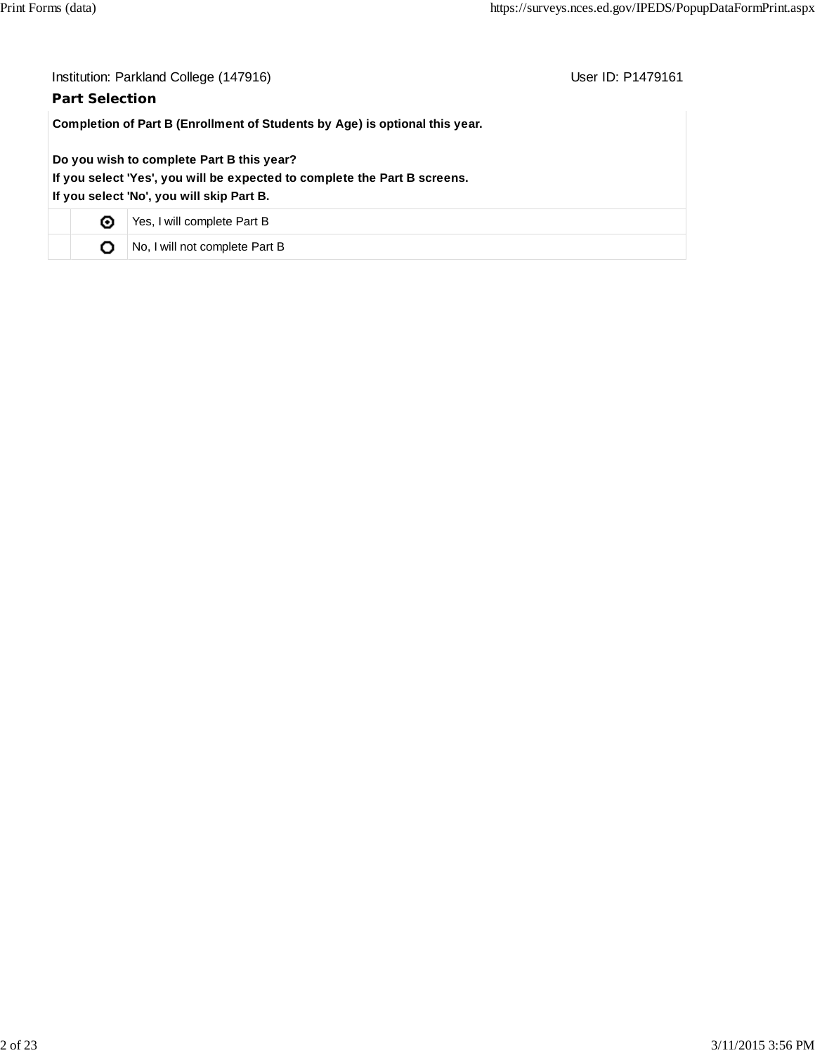| Institution: Parkland College (147916)<br>User ID: P1479161<br><b>Part Selection</b>                                                                                |                                |  |  |  |  |  |
|---------------------------------------------------------------------------------------------------------------------------------------------------------------------|--------------------------------|--|--|--|--|--|
| Completion of Part B (Enrollment of Students by Age) is optional this year.                                                                                         |                                |  |  |  |  |  |
| Do you wish to complete Part B this year?<br>If you select 'Yes', you will be expected to complete the Part B screens.<br>If you select 'No', you will skip Part B. |                                |  |  |  |  |  |
| ⊙                                                                                                                                                                   | Yes, I will complete Part B    |  |  |  |  |  |
| О                                                                                                                                                                   | No, I will not complete Part B |  |  |  |  |  |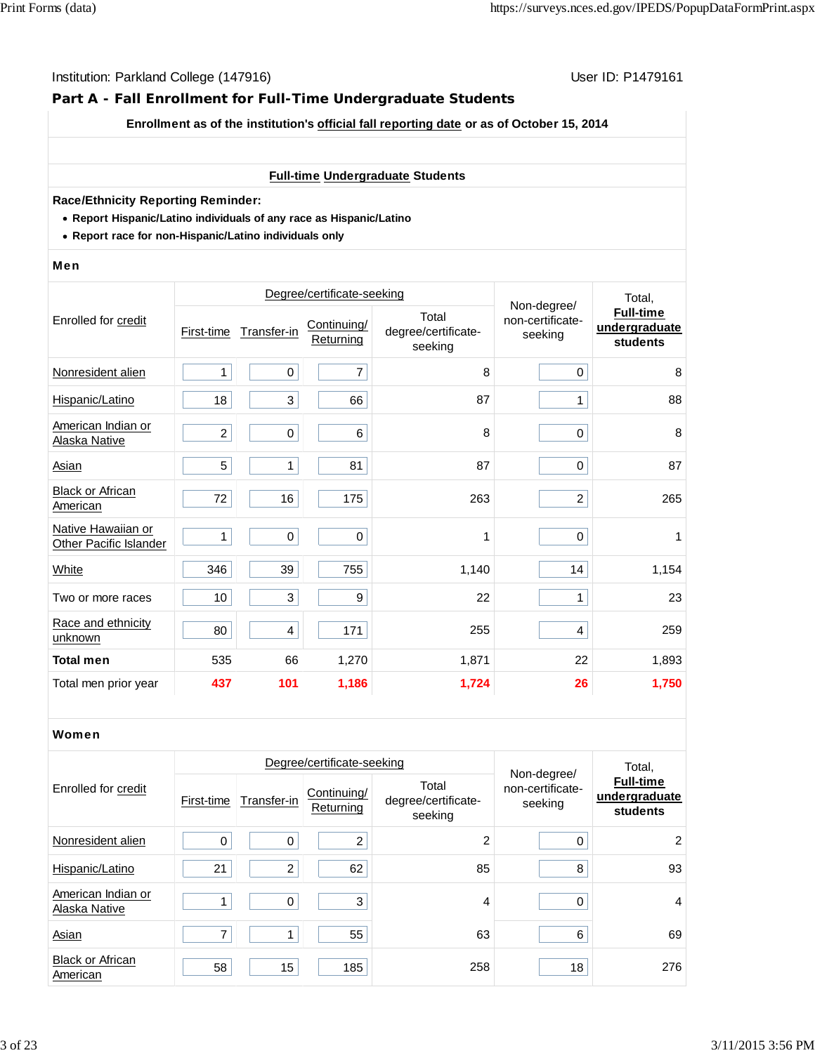# **Part A - Fall Enrollment for Full-Time Undergraduate Students**

**Enrollment as of the institution's official fall reporting date or as of October 15, 2014**

#### **Full-time Undergraduate Students**

#### **Race/Ethnicity Reporting Reminder:**

- **Report Hispanic/Latino individuals of any race as Hispanic/Latino**
- **Report race for non-Hispanic/Latino individuals only**

#### Men

|                                              |                |                         | Degree/certificate-seeking | Non-degree/                             | Total,                      |                                               |
|----------------------------------------------|----------------|-------------------------|----------------------------|-----------------------------------------|-----------------------------|-----------------------------------------------|
| Enrolled for credit                          | First-time     | Transfer-in             | Continuing/<br>Returning   | Total<br>degree/certificate-<br>seeking | non-certificate-<br>seeking | <b>Full-time</b><br>undergraduate<br>students |
| Nonresident alien                            | 1              | 0                       | 7                          | 8                                       | 0                           | 8                                             |
| Hispanic/Latino                              | 18             | 3                       | 66                         | 87                                      | 1                           | 88                                            |
| American Indian or<br>Alaska Native          | $\overline{c}$ | 0                       | 6                          | 8                                       | 0                           | 8                                             |
| Asian                                        | 5              | 1                       | 81                         | 87                                      | 0                           | 87                                            |
| <b>Black or African</b><br>American          | 72             | 16                      | 175                        | 263                                     | $\overline{c}$              | 265                                           |
| Native Hawaiian or<br>Other Pacific Islander | 1              | $\pmb{0}$               | 0                          | 1                                       | 0                           | 1                                             |
| White                                        | 346            | 39                      | 755                        | 1,140                                   | 14                          | 1,154                                         |
| Two or more races                            | 10             | 3                       | 9                          | 22                                      | 1                           | 23                                            |
| Race and ethnicity<br>unknown                | 80             | $\overline{\mathbf{4}}$ | 171                        | 255                                     | 4                           | 259                                           |
| <b>Total men</b>                             | 535            | 66                      | 1,270                      | 1,871                                   | 22                          | 1,893                                         |
| Total men prior year                         | 437            | 101                     | 1,186                      | 1,724                                   | 26                          | 1,750                                         |

#### Women

|                                     |            |             | Degree/certificate-seeking |                                         | Total,                                     |                                               |
|-------------------------------------|------------|-------------|----------------------------|-----------------------------------------|--------------------------------------------|-----------------------------------------------|
| Enrolled for credit                 | First-time | Transfer-in | Continuing/<br>Returning   | Total<br>degree/certificate-<br>seeking | Non-degree/<br>non-certificate-<br>seeking | <b>Full-time</b><br>undergraduate<br>students |
| Nonresident alien                   | 0          | 0           | 2                          | 2                                       | 0                                          | 2                                             |
| Hispanic/Latino                     | 21         | 2           | 62                         | 85                                      | 8                                          | 93                                            |
| American Indian or<br>Alaska Native |            | 0           | 3                          | 4                                       | 0                                          | 4                                             |
| Asian                               | 7          |             | 55                         | 63                                      | 6                                          | 69                                            |
| <b>Black or African</b><br>American | 58         | 15          | 185                        | 258                                     | 18                                         | 276                                           |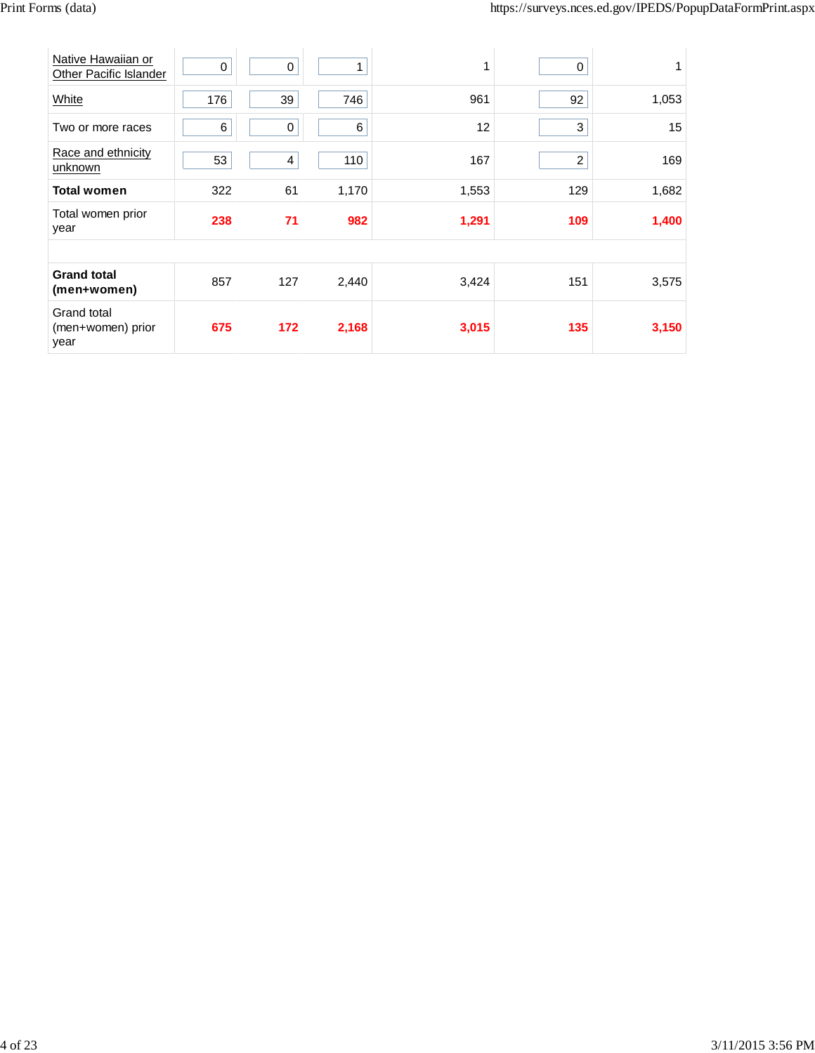| Native Hawaiian or<br>Other Pacific Islander | 0   | $\pmb{0}$   |       | 1     | 0                |       |
|----------------------------------------------|-----|-------------|-------|-------|------------------|-------|
| White                                        | 176 | 39          | 746   | 961   | 92               | 1,053 |
| Two or more races                            | 6   | $\mathbf 0$ | 6     | 12    | 3                | 15    |
| Race and ethnicity<br>unknown                | 53  | 4           | 110   | 167   | $\boldsymbol{2}$ | 169   |
| <b>Total women</b>                           | 322 | 61          | 1,170 | 1,553 | 129              | 1,682 |
| Total women prior<br>year                    | 238 | 71          | 982   | 1,291 | 109              | 1,400 |
|                                              |     |             |       |       |                  |       |
| <b>Grand total</b><br>(men+women)            | 857 | 127         | 2,440 | 3,424 | 151              | 3,575 |
| Grand total<br>(men+women) prior<br>year     | 675 | 172         | 2,168 | 3,015 | 135              | 3,150 |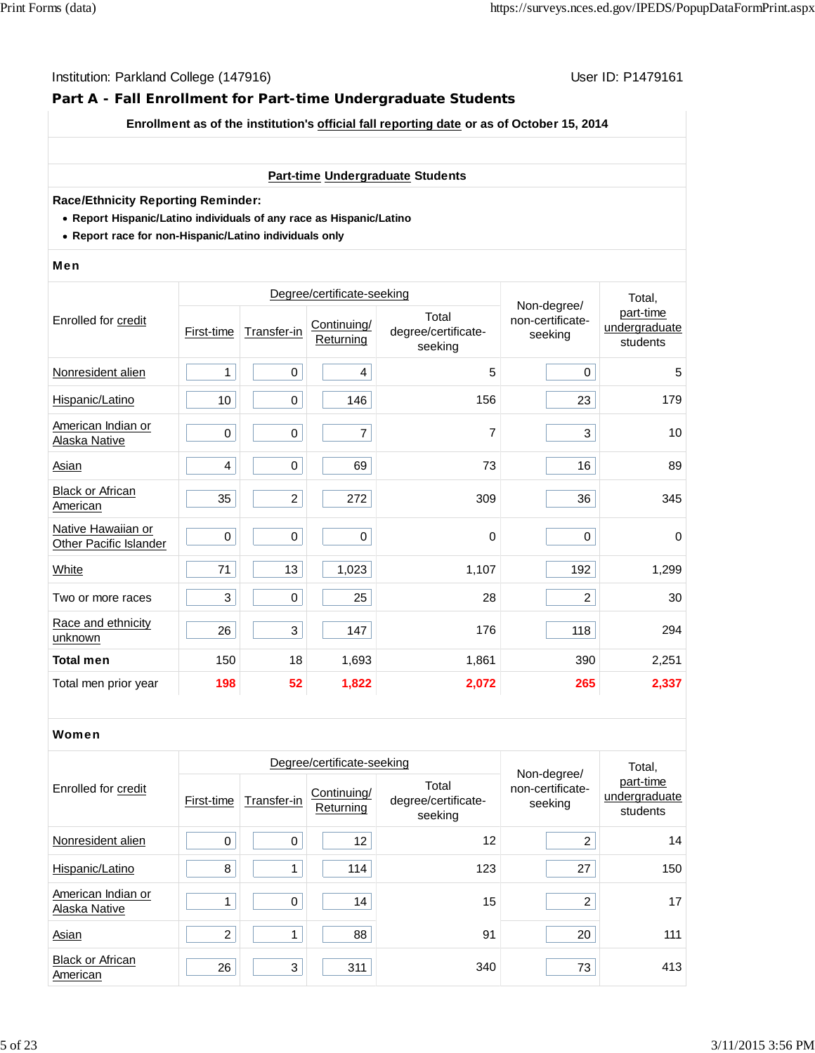# **Part A - Fall Enrollment for Part-time Undergraduate Students**

**Enrollment as of the institution's official fall reporting date or as of October 15, 2014**

#### **Part-time Undergraduate Students**

#### **Race/Ethnicity Reporting Reminder:**

- **Report Hispanic/Latino individuals of any race as Hispanic/Latino**
- **Report race for non-Hispanic/Latino individuals only**

#### Men

|                                              |            | Degree/certificate-seeking | Non-degree/              | Total,                                  |                             |                                        |
|----------------------------------------------|------------|----------------------------|--------------------------|-----------------------------------------|-----------------------------|----------------------------------------|
| Enrolled for credit                          | First-time | Transfer-in                | Continuing/<br>Returning | Total<br>degree/certificate-<br>seeking | non-certificate-<br>seeking | part-time<br>undergraduate<br>students |
| Nonresident alien                            | 1          | 0                          | 4                        | 5                                       | $\mathbf 0$                 | 5                                      |
| Hispanic/Latino                              | 10         | $\mathbf 0$                | 146                      | 156                                     | 23                          | 179                                    |
| American Indian or<br>Alaska Native          | $\pmb{0}$  | 0                          | 7                        | 7                                       | 3                           | 10                                     |
| <b>Asian</b>                                 | 4          | $\mathbf 0$                | 69                       | 73                                      | 16                          | 89                                     |
| <b>Black or African</b><br>American          | 35         | $\overline{2}$             | 272                      | 309                                     | 36                          | 345                                    |
| Native Hawaiian or<br>Other Pacific Islander | $\pmb{0}$  | $\pmb{0}$                  | 0                        | 0                                       | $\mathbf 0$                 | $\pmb{0}$                              |
| White                                        | 71         | 13                         | 1,023                    | 1,107                                   | 192                         | 1,299                                  |
| Two or more races                            | 3          | 0                          | 25                       | 28                                      | 2                           | 30                                     |
| Race and ethnicity<br>unknown                | 26         | 3                          | 147                      | 176                                     | 118                         | 294                                    |
| <b>Total men</b>                             | 150        | 18                         | 1,693                    | 1,861                                   | 390                         | 2,251                                  |
| Total men prior year                         | 198        | 52                         | 1,822                    | 2,072                                   | 265                         | 2,337                                  |

#### Women

|                                     |                | Degree/certificate-seeking |                          | Total,                                  |                                            |                                        |
|-------------------------------------|----------------|----------------------------|--------------------------|-----------------------------------------|--------------------------------------------|----------------------------------------|
| Enrolled for credit                 | First-time     | Transfer-in                | Continuing/<br>Returning | Total<br>degree/certificate-<br>seeking | Non-degree/<br>non-certificate-<br>seeking | part-time<br>undergraduate<br>students |
| Nonresident alien                   | 0              | $\Omega$                   | 12                       | 12                                      | 2                                          | 14                                     |
| Hispanic/Latino                     | 8              |                            | 114                      | 123                                     | 27                                         | 150                                    |
| American Indian or<br>Alaska Native |                | $\Omega$                   | 14                       | 15                                      | $\overline{2}$                             | 17                                     |
| Asian                               | $\overline{2}$ |                            | 88                       | 91                                      | 20                                         | 111                                    |
| <b>Black or African</b><br>American | 26             | 3                          | 311                      | 340                                     | 73                                         | 413                                    |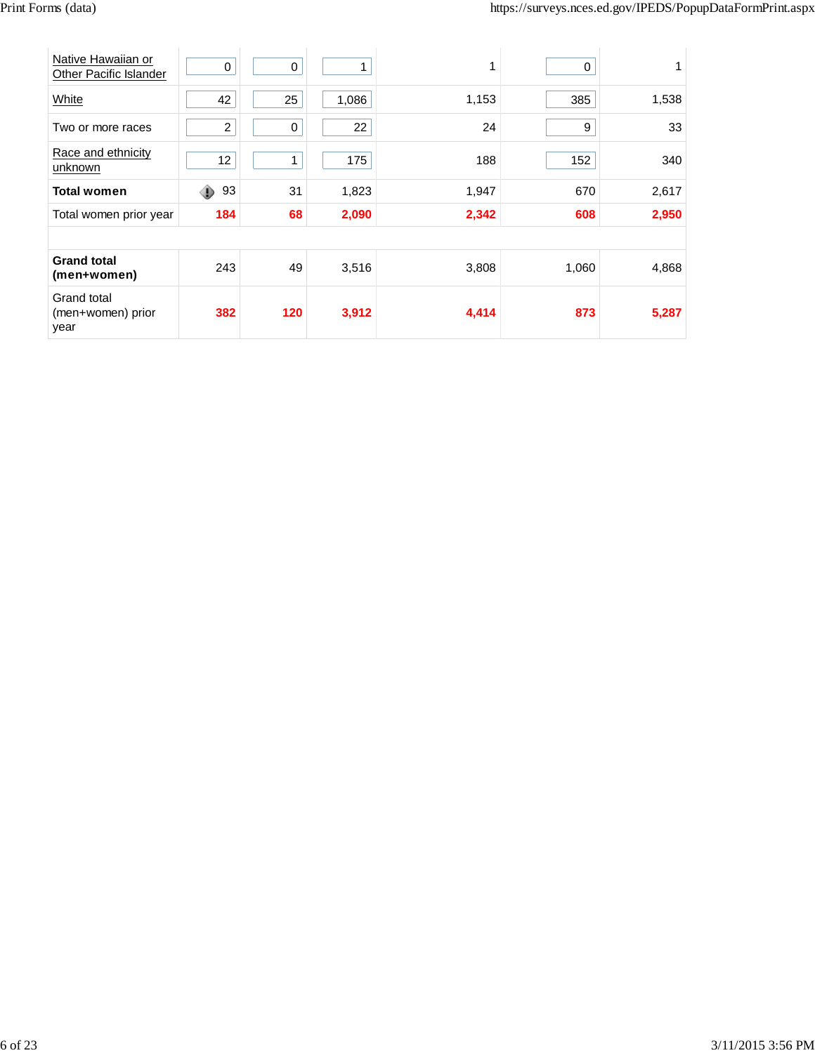| Native Hawaiian or<br>Other Pacific Islander | 0              | $\pmb{0}$   |       | 1     | 0     |       |
|----------------------------------------------|----------------|-------------|-------|-------|-------|-------|
| White                                        | 42             | 25          | 1,086 | 1,153 | 385   | 1,538 |
| Two or more races                            | $\overline{c}$ | $\mathbf 0$ | 22    | 24    | 9     | 33    |
| Race and ethnicity<br>unknown                | 12             |             | 175   | 188   | 152   | 340   |
| <b>Total women</b>                           | ◉<br>93        | 31          | 1,823 | 1,947 | 670   | 2,617 |
| Total women prior year                       | 184            | 68          | 2,090 | 2,342 | 608   | 2,950 |
|                                              |                |             |       |       |       |       |
| <b>Grand total</b><br>(men+women)            | 243            | 49          | 3,516 | 3,808 | 1,060 | 4,868 |
| Grand total<br>(men+women) prior<br>year     | 382            | 120         | 3,912 | 4,414 | 873   | 5,287 |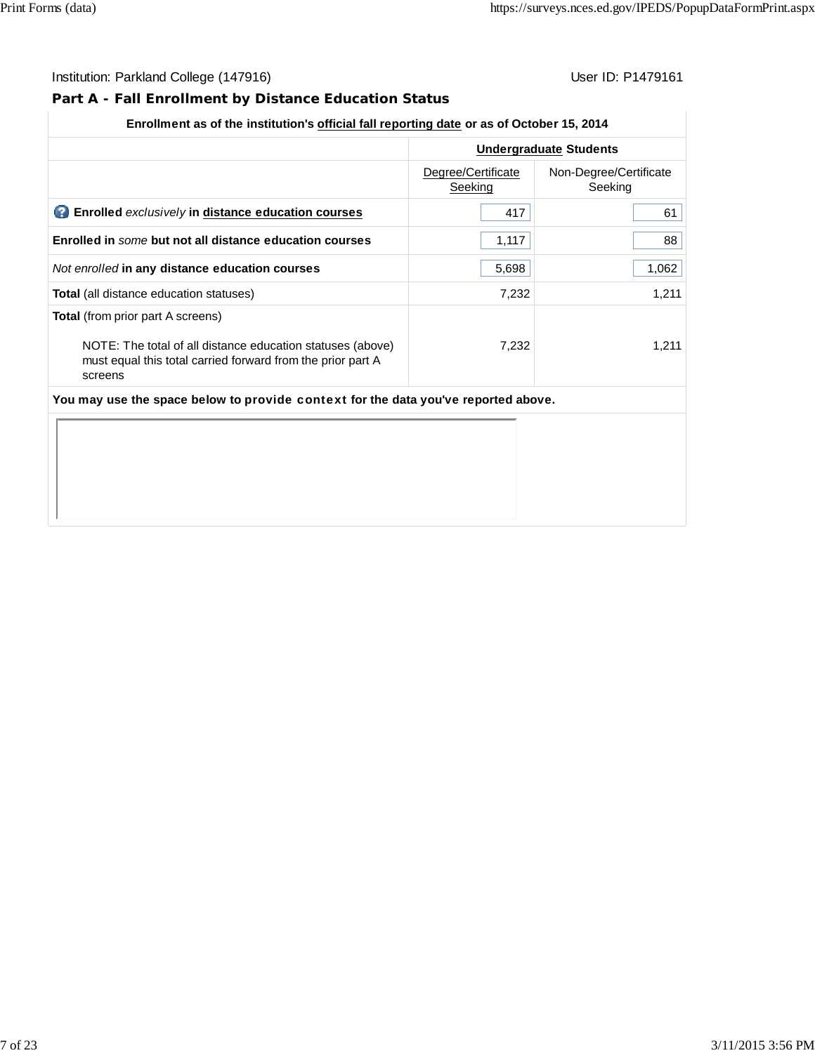# **Part A - Fall Enrollment by Distance Education Status**

|                                                                                                                                                                                  | <b>Undergraduate Students</b> |                                   |  |  |
|----------------------------------------------------------------------------------------------------------------------------------------------------------------------------------|-------------------------------|-----------------------------------|--|--|
|                                                                                                                                                                                  | Degree/Certificate<br>Seeking | Non-Degree/Certificate<br>Seeking |  |  |
| Enrolled exclusively in distance education courses                                                                                                                               | 417                           | 61                                |  |  |
| Enrolled in some but not all distance education courses                                                                                                                          | 1,117                         | 88                                |  |  |
| Not enrolled in any distance education courses                                                                                                                                   | 5,698                         | 1,062                             |  |  |
| <b>Total</b> (all distance education statuses)                                                                                                                                   | 7,232                         | 1,211                             |  |  |
| <b>Total</b> (from prior part A screens)<br>NOTE: The total of all distance education statuses (above)<br>must equal this total carried forward from the prior part A<br>screens | 7.232                         | 1.211                             |  |  |
| You may use the space below to provide context for the data you've reported above.                                                                                               |                               |                                   |  |  |
|                                                                                                                                                                                  |                               |                                   |  |  |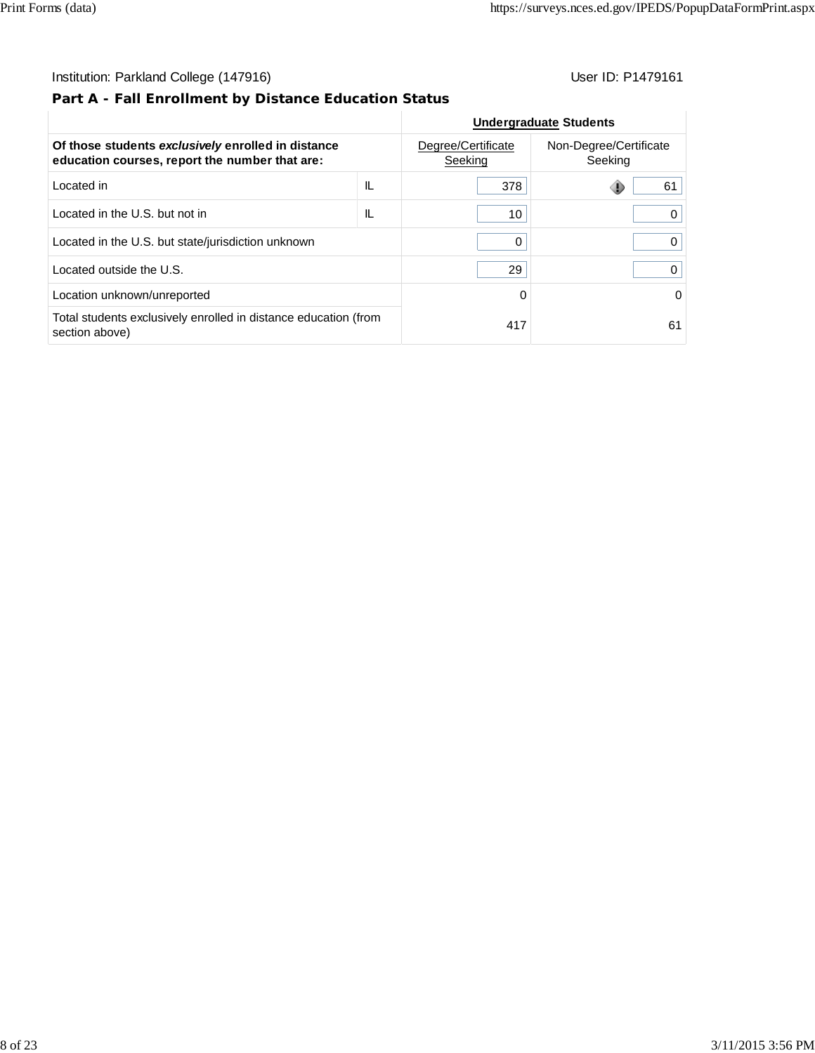# **Part A - Fall Enrollment by Distance Education Status**

|                                                                                                      |    | <b>Undergraduate Students</b> |                                   |  |
|------------------------------------------------------------------------------------------------------|----|-------------------------------|-----------------------------------|--|
| Of those students exclusively enrolled in distance<br>education courses, report the number that are: |    | Degree/Certificate<br>Seeking | Non-Degree/Certificate<br>Seeking |  |
| Located in                                                                                           | IL | 378                           | 61                                |  |
| Located in the U.S. but not in                                                                       | IL | 10                            |                                   |  |
| Located in the U.S. but state/jurisdiction unknown                                                   | 0  | 0                             |                                   |  |
| Located outside the U.S.                                                                             |    | 29                            |                                   |  |
| Location unknown/unreported                                                                          |    | $\Omega$                      | 0                                 |  |
| Total students exclusively enrolled in distance education (from<br>section above)                    |    | 417                           | 61                                |  |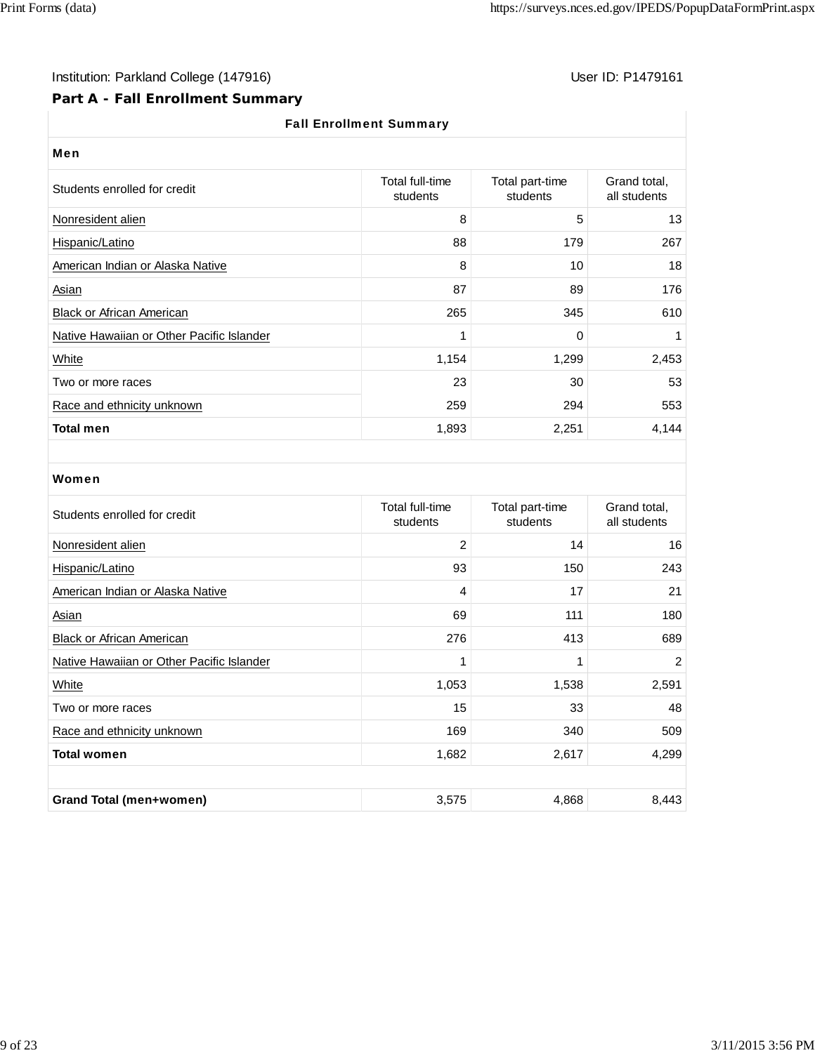# Institution: Parkland College (147916) Note that the User ID: P1479161

#### **Part A - Fall Enrollment Summary**

#### Fall Enrollment Summary

| User ID: $P1479'$ |  |  |
|-------------------|--|--|
|                   |  |  |

| Men                                       |                             |                             |                              |  |  |  |  |
|-------------------------------------------|-----------------------------|-----------------------------|------------------------------|--|--|--|--|
| Students enrolled for credit              | Total full-time<br>students | Total part-time<br>students | Grand total,<br>all students |  |  |  |  |
| Nonresident alien                         | 8                           | 5                           | 13                           |  |  |  |  |
| Hispanic/Latino                           | 88                          | 179                         | 267                          |  |  |  |  |
| American Indian or Alaska Native          | 8                           | 10                          | 18                           |  |  |  |  |
| Asian                                     | 87                          | 89                          | 176                          |  |  |  |  |
| <b>Black or African American</b>          | 265                         | 345                         | 610                          |  |  |  |  |
| Native Hawaiian or Other Pacific Islander | 1                           | 0                           |                              |  |  |  |  |
| White                                     | 1,154                       | 1,299                       | 2,453                        |  |  |  |  |
| Two or more races                         | 23                          | 30                          | 53                           |  |  |  |  |
| Race and ethnicity unknown                | 259                         | 294                         | 553                          |  |  |  |  |
| <b>Total men</b>                          | 1,893                       | 2,251                       | 4,144                        |  |  |  |  |

#### Women

| Students enrolled for credit              | Total full-time<br>students | Total part-time<br>students | Grand total,<br>all students |
|-------------------------------------------|-----------------------------|-----------------------------|------------------------------|
| Nonresident alien                         | $\overline{c}$              | 14                          | 16                           |
| Hispanic/Latino                           | 93                          | 150                         | 243                          |
| American Indian or Alaska Native          | 4                           | 17                          | 21                           |
| Asian                                     | 69                          | 111                         | 180                          |
| <b>Black or African American</b>          | 276                         | 413                         | 689                          |
| Native Hawaiian or Other Pacific Islander | 1                           | 1                           | 2                            |
| White                                     | 1,053                       | 1,538                       | 2,591                        |
| Two or more races                         | 15                          | 33                          | 48                           |
| Race and ethnicity unknown                | 169                         | 340                         | 509                          |
| <b>Total women</b>                        | 1,682                       | 2,617                       | 4,299                        |
|                                           |                             |                             |                              |
| <b>Grand Total (men+women)</b>            | 3,575                       | 4,868                       | 8,443                        |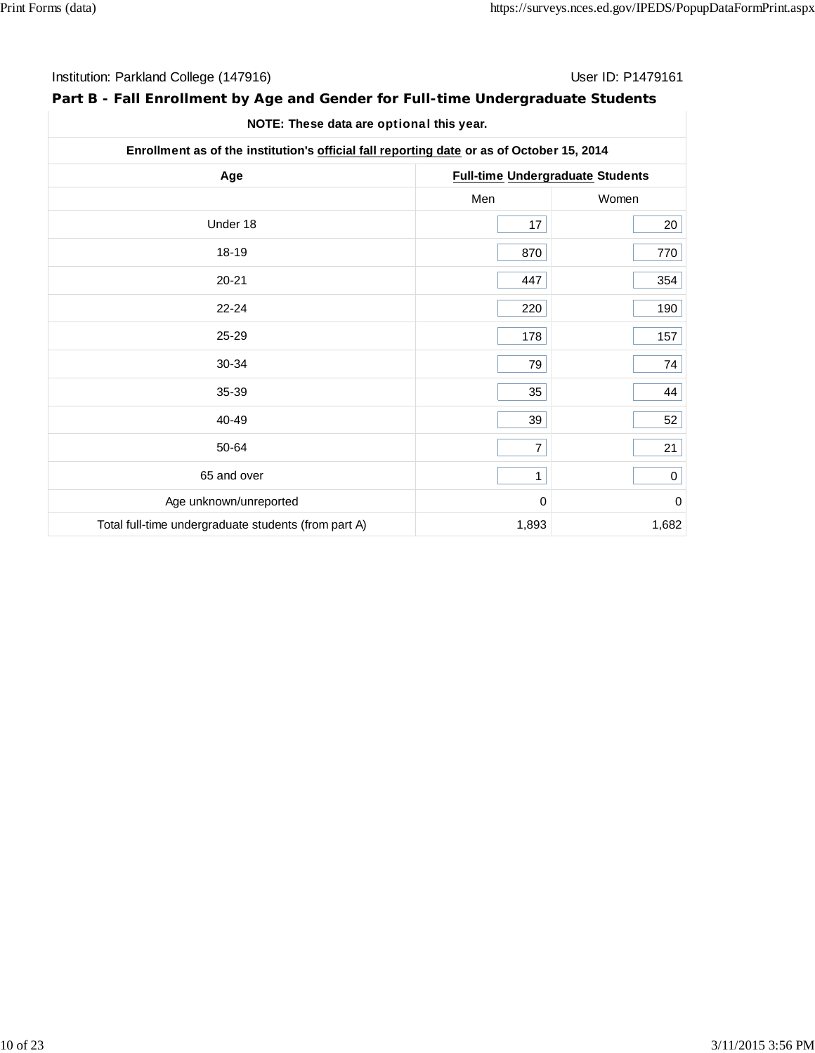| Institution: Parkland College (147916) | User ID: P1479161 |
|----------------------------------------|-------------------|
|----------------------------------------|-------------------|

# **Part B - Fall Enrollment by Age and Gender for Full-time Undergraduate Students**

| NOTE: These data are optional this year. |  |  |
|------------------------------------------|--|--|
|------------------------------------------|--|--|

| Enrollment as of the institution's official fall reporting date or as of October 15, 2014 |                                         |             |  |  |
|-------------------------------------------------------------------------------------------|-----------------------------------------|-------------|--|--|
| Age                                                                                       | <b>Full-time Undergraduate Students</b> |             |  |  |
|                                                                                           | Men                                     | Women       |  |  |
| Under 18                                                                                  | 17                                      | 20          |  |  |
| 18-19                                                                                     | 870                                     | 770         |  |  |
| $20 - 21$                                                                                 | 447                                     | 354         |  |  |
| $22 - 24$                                                                                 | 220                                     | 190         |  |  |
| 25-29                                                                                     | 178                                     | 157         |  |  |
| 30-34                                                                                     | 79                                      | 74          |  |  |
| 35-39                                                                                     | 35                                      | 44          |  |  |
| 40-49                                                                                     | 39                                      | 52          |  |  |
| 50-64                                                                                     | $\overline{7}$                          | 21          |  |  |
| 65 and over                                                                               | 1                                       | $\mathsf 0$ |  |  |
| Age unknown/unreported                                                                    | $\mathbf 0$                             | $\mathbf 0$ |  |  |
| Total full-time undergraduate students (from part A)                                      | 1,893                                   | 1,682       |  |  |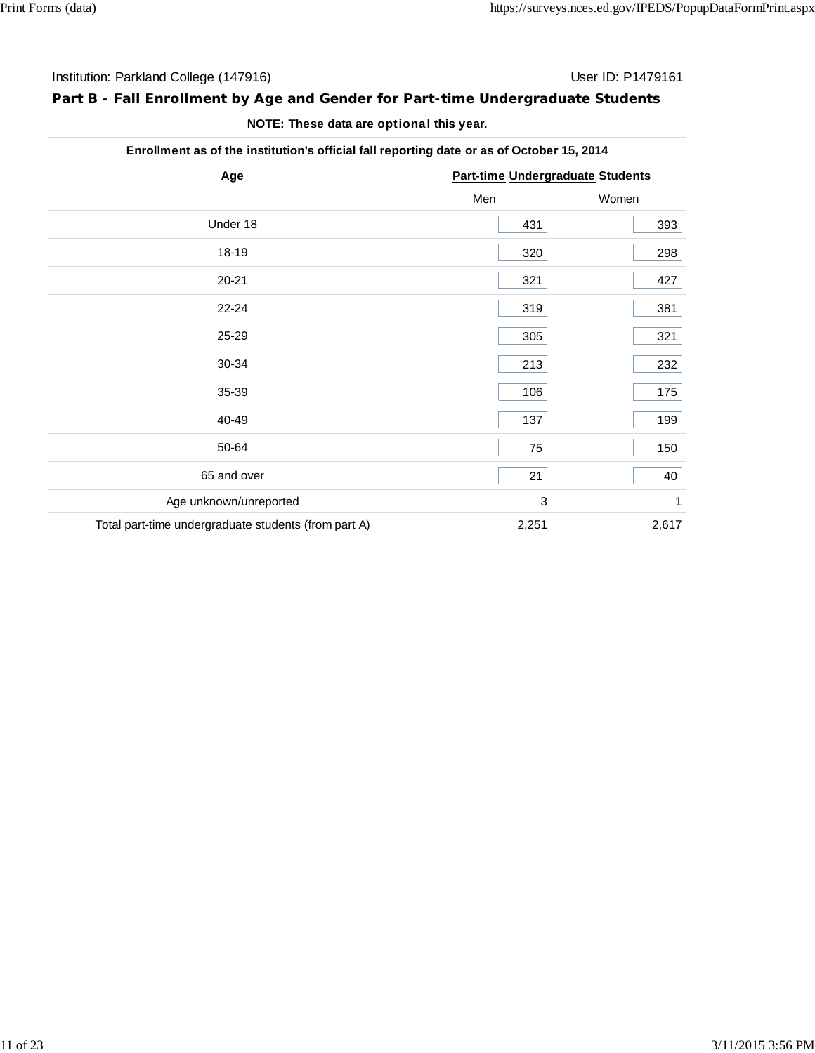| Institution: Parkland College (147916) | User ID: P1479161 |
|----------------------------------------|-------------------|
|----------------------------------------|-------------------|

# **Part B - Fall Enrollment by Age and Gender for Part-time Undergraduate Students**

| Enrollment as of the institution's official fall reporting date or as of October 15, 2014 |       |                                  |  |  |
|-------------------------------------------------------------------------------------------|-------|----------------------------------|--|--|
| Age                                                                                       |       | Part-time Undergraduate Students |  |  |
|                                                                                           | Men   | Women                            |  |  |
| Under 18                                                                                  | 431   | 393                              |  |  |
| 18-19                                                                                     | 320   | 298                              |  |  |
| $20 - 21$                                                                                 | 321   | 427                              |  |  |
| $22 - 24$                                                                                 | 319   | 381                              |  |  |
| 25-29                                                                                     | 305   | 321                              |  |  |
| 30-34                                                                                     | 213   | 232                              |  |  |
| 35-39                                                                                     | 106   | 175                              |  |  |
| 40-49                                                                                     | 137   | 199                              |  |  |
| 50-64                                                                                     | 75    | 150                              |  |  |
| 65 and over                                                                               | 21    | 40                               |  |  |
| Age unknown/unreported                                                                    | 3     | 1                                |  |  |
| Total part-time undergraduate students (from part A)                                      | 2,251 | 2,617                            |  |  |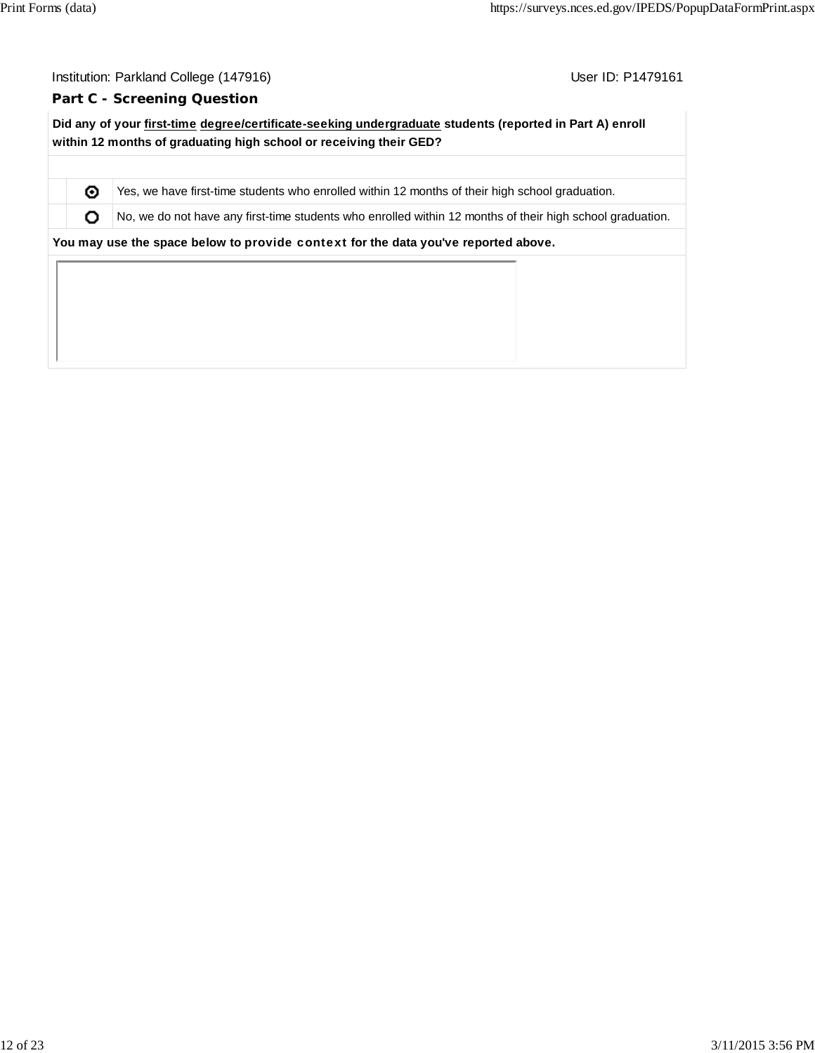User ID: P1479161

#### **Part C - Screening Question**

**Did any of your first-time degree/certificate-seeking undergraduate students (reported in Part A) enroll within 12 months of graduating high school or receiving their GED?**

Yes, we have first-time students who enrolled within 12 months of their high school graduation.

 $\bullet$  No, we do not have any first-time students who enrolled within 12 months of their high school graduation.

**You may use the space below to** provide context **for the data you've reported above.**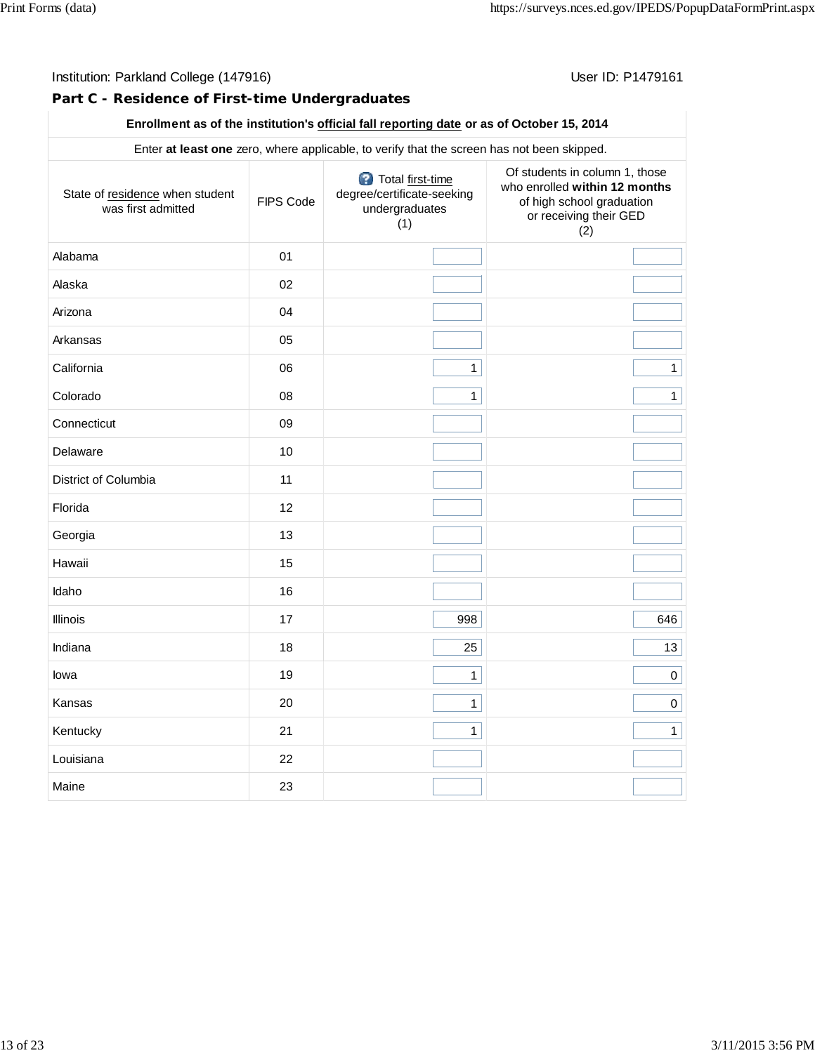#### Institution: Parkland College (147916) **Institution: Parkland College (1479161**

#### **Part C - Residence of First-time Undergraduates**

| Enter at least one zero, where applicable, to verify that the screen has not been skipped. |           |                                                                         |                                                                                                                               |  |  |  |  |
|--------------------------------------------------------------------------------------------|-----------|-------------------------------------------------------------------------|-------------------------------------------------------------------------------------------------------------------------------|--|--|--|--|
| State of residence when student<br>was first admitted                                      | FIPS Code | Total first-time<br>degree/certificate-seeking<br>undergraduates<br>(1) | Of students in column 1, those<br>who enrolled within 12 months<br>of high school graduation<br>or receiving their GED<br>(2) |  |  |  |  |
| Alabama                                                                                    | 01        |                                                                         |                                                                                                                               |  |  |  |  |
| Alaska                                                                                     | 02        |                                                                         |                                                                                                                               |  |  |  |  |
| Arizona                                                                                    | 04        |                                                                         |                                                                                                                               |  |  |  |  |
| Arkansas                                                                                   | 05        |                                                                         |                                                                                                                               |  |  |  |  |
| California                                                                                 | 06        | $\mathbf{1}$                                                            | $\mathbf{1}$                                                                                                                  |  |  |  |  |
| Colorado                                                                                   | 08        | $\mathbf{1}$                                                            | $\mathbf 1$                                                                                                                   |  |  |  |  |
| Connecticut                                                                                | 09        |                                                                         |                                                                                                                               |  |  |  |  |
| Delaware                                                                                   | 10        |                                                                         |                                                                                                                               |  |  |  |  |
| District of Columbia                                                                       | 11        |                                                                         |                                                                                                                               |  |  |  |  |
| Florida                                                                                    | 12        |                                                                         |                                                                                                                               |  |  |  |  |
| Georgia                                                                                    | 13        |                                                                         |                                                                                                                               |  |  |  |  |
| Hawaii                                                                                     | 15        |                                                                         |                                                                                                                               |  |  |  |  |
| Idaho                                                                                      | 16        |                                                                         |                                                                                                                               |  |  |  |  |
| Illinois                                                                                   | 17        | 998                                                                     | 646                                                                                                                           |  |  |  |  |
| Indiana                                                                                    | 18        | 25                                                                      | 13                                                                                                                            |  |  |  |  |
| lowa                                                                                       | 19        | $\mathbf{1}$                                                            | $\mathbf 0$                                                                                                                   |  |  |  |  |
| Kansas                                                                                     | 20        | $\mathbf{1}$                                                            | 0                                                                                                                             |  |  |  |  |
| Kentucky                                                                                   | 21        | $\mathbf{1}$                                                            | $\mathbf{1}$                                                                                                                  |  |  |  |  |
| Louisiana                                                                                  | 22        |                                                                         |                                                                                                                               |  |  |  |  |
| Maine                                                                                      | 23        |                                                                         |                                                                                                                               |  |  |  |  |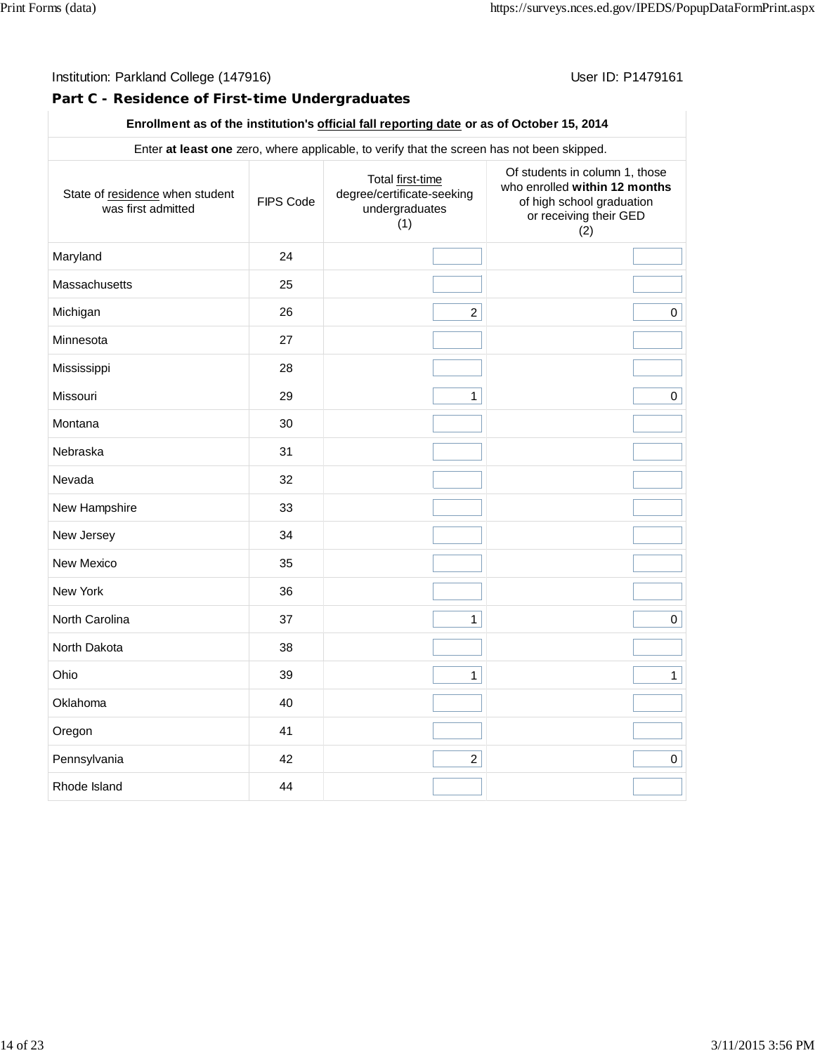#### Institution: Parkland College (147916) **Institution: Parkland College (1479161**

#### **Part C - Residence of First-time Undergraduates**

| Enter at least one zero, where applicable, to verify that the screen has not been skipped. |           |                                                                         |                                                                                                                               |  |  |  |
|--------------------------------------------------------------------------------------------|-----------|-------------------------------------------------------------------------|-------------------------------------------------------------------------------------------------------------------------------|--|--|--|
| State of residence when student<br>was first admitted                                      | FIPS Code | Total first-time<br>degree/certificate-seeking<br>undergraduates<br>(1) | Of students in column 1, those<br>who enrolled within 12 months<br>of high school graduation<br>or receiving their GED<br>(2) |  |  |  |
| Maryland                                                                                   | 24        |                                                                         |                                                                                                                               |  |  |  |
| <b>Massachusetts</b>                                                                       | 25        |                                                                         |                                                                                                                               |  |  |  |
| Michigan                                                                                   | 26        | $\overline{2}$                                                          | $\mathsf{O}$                                                                                                                  |  |  |  |
| Minnesota                                                                                  | 27        |                                                                         |                                                                                                                               |  |  |  |
| Mississippi                                                                                | 28        |                                                                         |                                                                                                                               |  |  |  |
| Missouri                                                                                   | 29        | $\mathbf{1}$                                                            | 0                                                                                                                             |  |  |  |
| Montana                                                                                    | 30        |                                                                         |                                                                                                                               |  |  |  |
| Nebraska                                                                                   | 31        |                                                                         |                                                                                                                               |  |  |  |
| Nevada                                                                                     | 32        |                                                                         |                                                                                                                               |  |  |  |
| New Hampshire                                                                              | 33        |                                                                         |                                                                                                                               |  |  |  |
| New Jersey                                                                                 | 34        |                                                                         |                                                                                                                               |  |  |  |
| New Mexico                                                                                 | 35        |                                                                         |                                                                                                                               |  |  |  |
| New York                                                                                   | 36        |                                                                         |                                                                                                                               |  |  |  |
| North Carolina                                                                             | 37        | $\mathbf{1}$                                                            | $\mathsf{O}$                                                                                                                  |  |  |  |
| North Dakota                                                                               | 38        |                                                                         |                                                                                                                               |  |  |  |
| Ohio                                                                                       | 39        | $\mathbf{1}$                                                            | $\mathbf{1}$                                                                                                                  |  |  |  |
| Oklahoma                                                                                   | 40        |                                                                         |                                                                                                                               |  |  |  |
| Oregon                                                                                     | 41        |                                                                         |                                                                                                                               |  |  |  |
| Pennsylvania                                                                               | 42        | $\overline{a}$                                                          | $\mathbf 0$                                                                                                                   |  |  |  |
| Rhode Island                                                                               | 44        |                                                                         |                                                                                                                               |  |  |  |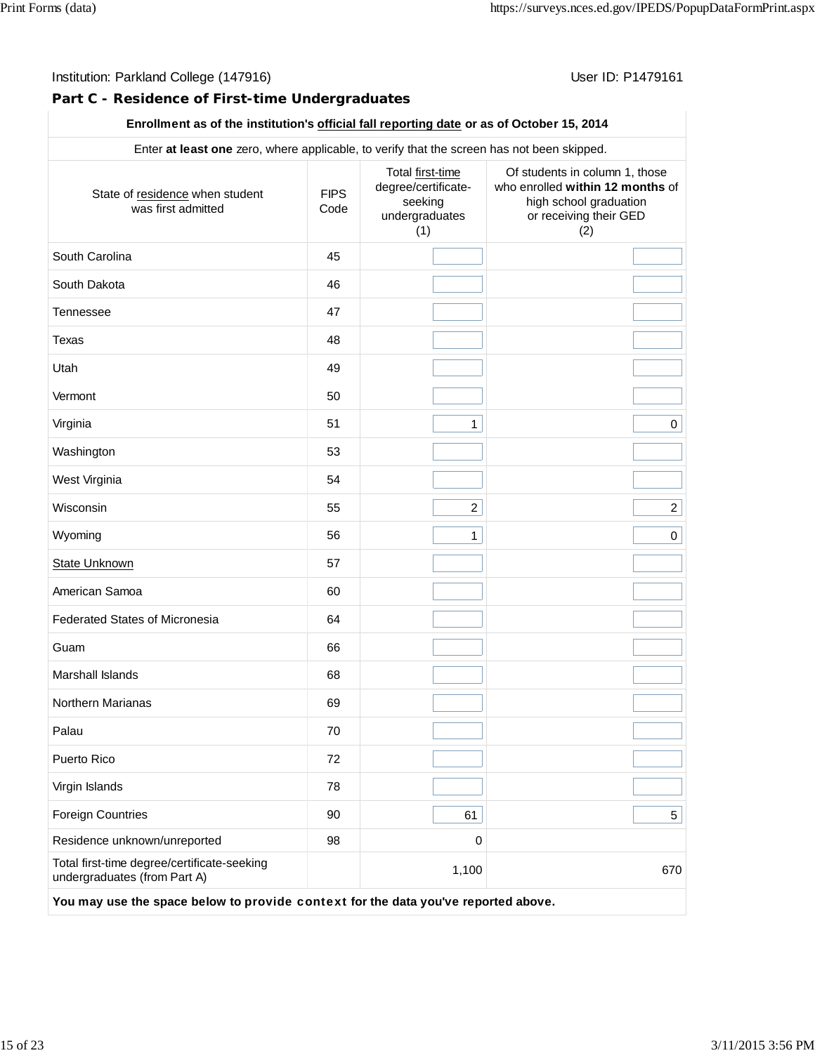## **Part C - Residence of First-time Undergraduates**

| Enter at least one zero, where applicable, to verify that the screen has not been skipped. |                     |                                                                             |                                                                                                                               |  |
|--------------------------------------------------------------------------------------------|---------------------|-----------------------------------------------------------------------------|-------------------------------------------------------------------------------------------------------------------------------|--|
| State of residence when student<br>was first admitted                                      | <b>FIPS</b><br>Code | Total first-time<br>degree/certificate-<br>seeking<br>undergraduates<br>(1) | Of students in column 1, those<br>who enrolled within 12 months of<br>high school graduation<br>or receiving their GED<br>(2) |  |
| South Carolina                                                                             | 45                  |                                                                             |                                                                                                                               |  |
| South Dakota                                                                               | 46                  |                                                                             |                                                                                                                               |  |
| <b>Tennessee</b>                                                                           | 47                  |                                                                             |                                                                                                                               |  |
| Texas                                                                                      | 48                  |                                                                             |                                                                                                                               |  |
| Utah                                                                                       | 49                  |                                                                             |                                                                                                                               |  |
| Vermont                                                                                    | 50                  |                                                                             |                                                                                                                               |  |
| Virginia                                                                                   | 51                  | $\mathbf{1}$                                                                | $\pmb{0}$                                                                                                                     |  |
| Washington                                                                                 | 53                  |                                                                             |                                                                                                                               |  |
| West Virginia                                                                              | 54                  |                                                                             |                                                                                                                               |  |
| Wisconsin                                                                                  | 55                  | $\overline{2}$                                                              | $\overline{a}$                                                                                                                |  |
| Wyoming                                                                                    | 56                  | $\mathbf{1}$                                                                | $\pmb{0}$                                                                                                                     |  |
| <b>State Unknown</b>                                                                       | 57                  |                                                                             |                                                                                                                               |  |
| American Samoa                                                                             | 60                  |                                                                             |                                                                                                                               |  |
| <b>Federated States of Micronesia</b>                                                      | 64                  |                                                                             |                                                                                                                               |  |
| Guam                                                                                       | 66                  |                                                                             |                                                                                                                               |  |
| Marshall Islands                                                                           | 68                  |                                                                             |                                                                                                                               |  |
| Northern Marianas                                                                          | 69                  |                                                                             |                                                                                                                               |  |
| Palau                                                                                      | 70                  |                                                                             |                                                                                                                               |  |
| Puerto Rico                                                                                | 72                  |                                                                             |                                                                                                                               |  |
| Virgin Islands                                                                             | 78                  |                                                                             |                                                                                                                               |  |
| <b>Foreign Countries</b>                                                                   | 90                  | 61                                                                          | 5                                                                                                                             |  |
| Residence unknown/unreported                                                               | 98                  | 0                                                                           |                                                                                                                               |  |
| Total first-time degree/certificate-seeking<br>undergraduates (from Part A)                |                     | 1,100                                                                       | 670                                                                                                                           |  |
| You may use the space below to provide context for the data you've reported above.         |                     |                                                                             |                                                                                                                               |  |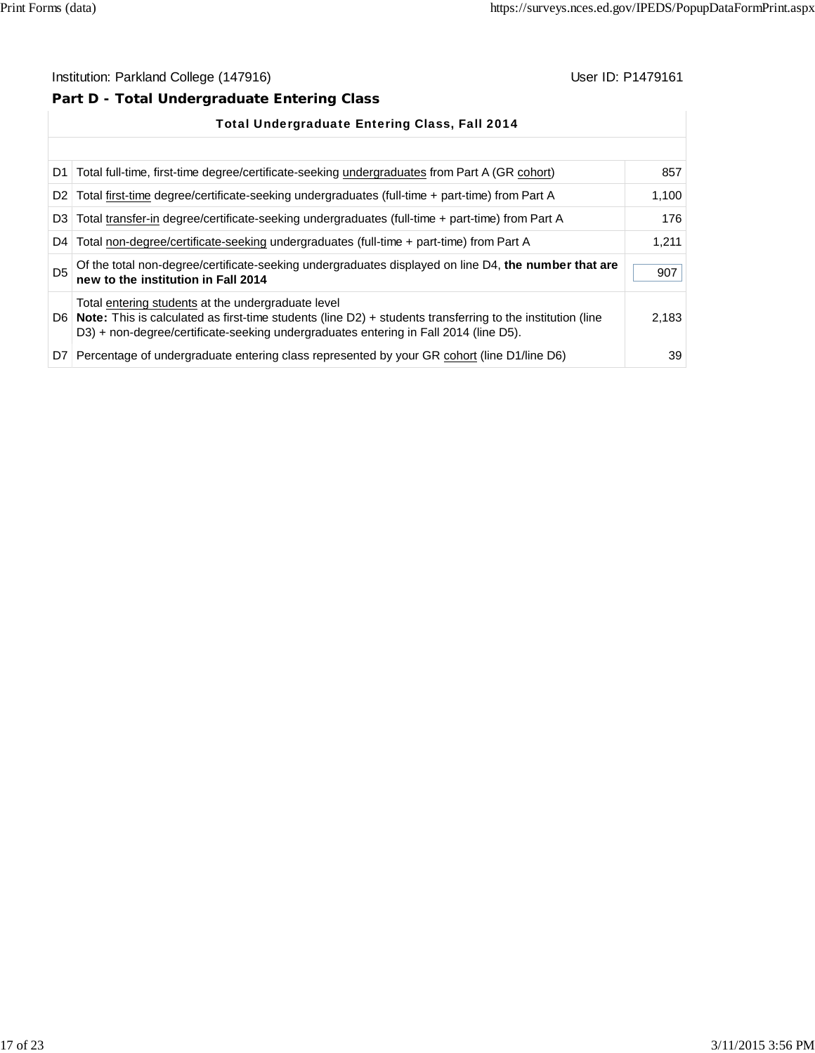# **Part D - Total Undergraduate Entering Class**

|                | <b>Total Undergraduate Entering Class, Fall 2014</b>                                                                                                                                                                                                             |       |
|----------------|------------------------------------------------------------------------------------------------------------------------------------------------------------------------------------------------------------------------------------------------------------------|-------|
|                |                                                                                                                                                                                                                                                                  |       |
|                | D1 Total full-time, first-time degree/certificate-seeking undergraduates from Part A (GR cohort)                                                                                                                                                                 | 857   |
|                | D2   Total first-time degree/certificate-seeking undergraduates (full-time + part-time) from Part A                                                                                                                                                              | 1,100 |
|                | D3 Total transfer-in degree/certificate-seeking undergraduates (full-time + part-time) from Part A                                                                                                                                                               | 176   |
| D <sub>4</sub> | Total non-degree/certificate-seeking undergraduates (full-time + part-time) from Part A                                                                                                                                                                          | 1,211 |
| D <sub>5</sub> | Of the total non-degree/certificate-seeking undergraduates displayed on line D4, the number that are<br>new to the institution in Fall 2014                                                                                                                      | 907   |
|                | Total entering students at the undergraduate level<br>D6   Note: This is calculated as first-time students (line $D2$ ) + students transferring to the institution (line<br>D3) + non-degree/certificate-seeking undergraduates entering in Fall 2014 (line D5). | 2,183 |
|                | D7 Percentage of undergraduate entering class represented by your GR cohort (line D1/line D6)                                                                                                                                                                    | 39    |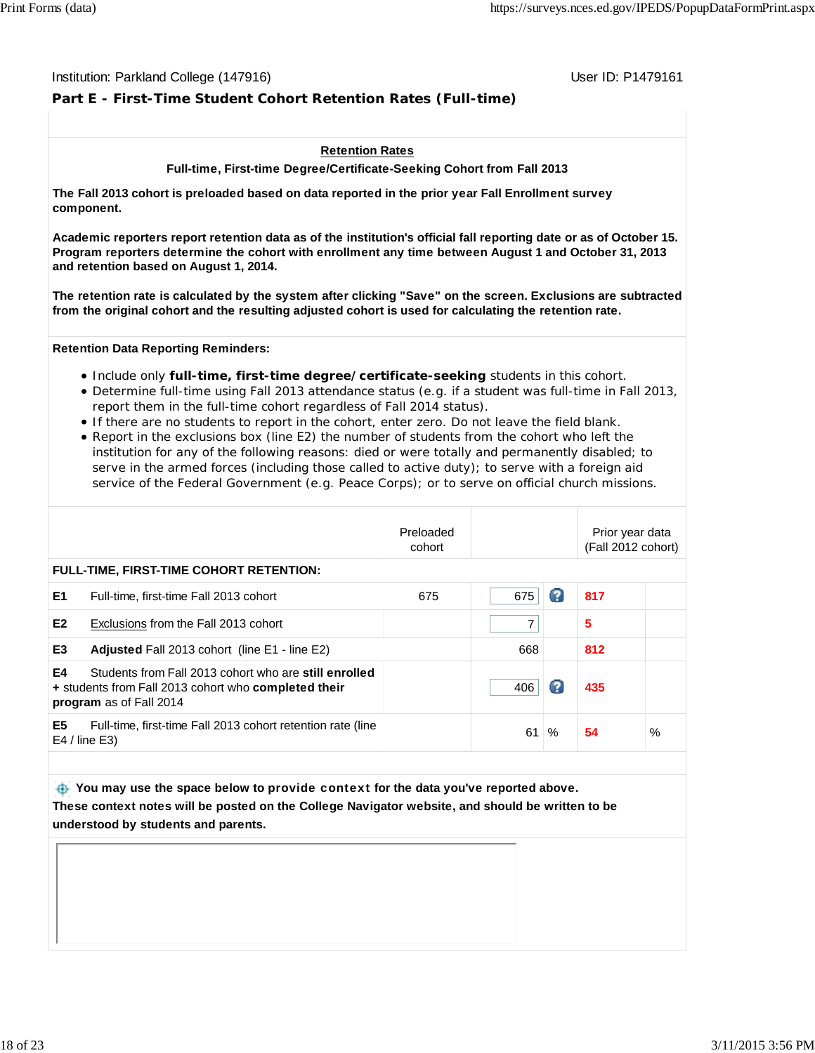#### Institution: Parkland College (147916) November 2012 12: P1479161

### **Part E - First-Time Student Cohort Retention Rates (Full-time)**

#### **Retention Rates**

**Full-time, First-time Degree/Certificate-Seeking Cohort from Fall 2013**

**The Fall 2013 cohort is preloaded based on data reported in the prior year Fall Enrollment survey component.**

**Academic reporters report retention data as of the institution's official fall reporting date or as of October 15. Program reporters determine the cohort with enrollment any time between August 1 and October 31, 2013 and retention based on August 1, 2014.**

**The retention rate is calculated by the system after clicking "Save" on the screen. Exclusions are subtracted from the original cohort and the resulting adjusted cohort is used for calculating the retention rate.**

**Retention Data Reporting Reminders:**

- Include only **full-time, first-time degree/certificate-seeking** students in this cohort.
- Determine full-time using Fall 2013 attendance status (e.g. if a student was full-time in Fall 2013, report them in the full-time cohort regardless of Fall 2014 status).
- If there are no students to report in the cohort, enter zero. Do not leave the field blank.
- Report in the exclusions box (line E2) the number of students from the cohort who left the institution for any of the following reasons: died or were totally and permanently disabled; to serve in the armed forces (including those called to active duty); to serve with a foreign aid service of the Federal Government (e.g. Peace Corps); or to serve on official church missions.

|                                                                                                                                                       | Preloaded<br>cohort |     |      | Prior year data<br>(Fall 2012 cohort) |      |
|-------------------------------------------------------------------------------------------------------------------------------------------------------|---------------------|-----|------|---------------------------------------|------|
| <b>FULL-TIME, FIRST-TIME COHORT RETENTION:</b>                                                                                                        |                     |     |      |                                       |      |
| E <sub>1</sub><br>Full-time, first-time Fall 2013 cohort                                                                                              | 675                 | 675 | Ø    | 817                                   |      |
| E <sub>2</sub><br>Exclusions from the Fall 2013 cohort                                                                                                |                     |     |      | 5                                     |      |
| E <sub>3</sub><br>Adjusted Fall 2013 cohort (line E1 - line E2)                                                                                       |                     | 668 |      | 812                                   |      |
| E4<br>Students from Fall 2013 cohort who are still enrolled<br>+ students from Fall 2013 cohort who completed their<br><b>program</b> as of Fall 2014 |                     | 406 | Ø    | 435                                   |      |
| E <sub>5</sub><br>Full-time, first-time Fall 2013 cohort retention rate (line<br>$E4$ / line E3)                                                      |                     | 61  | $\%$ | 54                                    | $\%$ |
|                                                                                                                                                       |                     |     |      |                                       |      |

 **You may use the space below to** provide context **for the data you've reported above. These context notes will be posted on the College Navigator website, and should be written to be understood by students and parents.**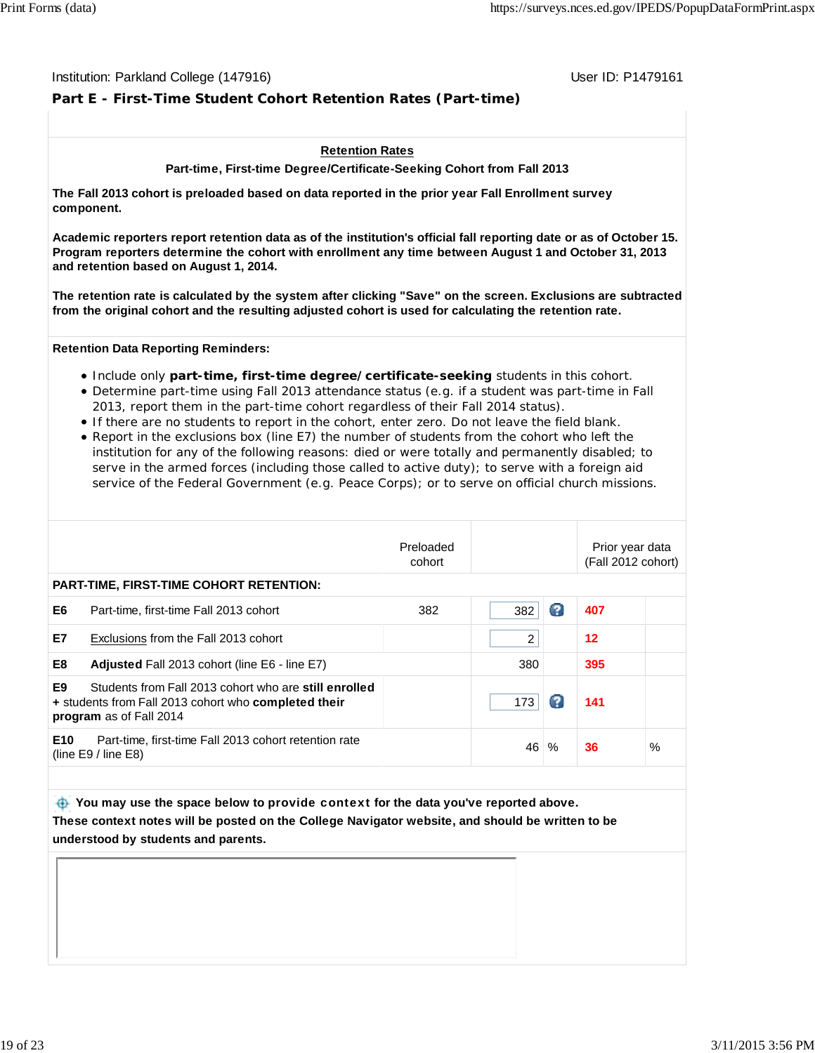#### Institution: Parkland College (147916) November 2012 12: P1479161

### **Part E - First-Time Student Cohort Retention Rates (Part-time)**

#### **Retention Rates**

**Part-time, First-time Degree/Certificate-Seeking Cohort from Fall 2013**

**The Fall 2013 cohort is preloaded based on data reported in the prior year Fall Enrollment survey component.**

**Academic reporters report retention data as of the institution's official fall reporting date or as of October 15. Program reporters determine the cohort with enrollment any time between August 1 and October 31, 2013 and retention based on August 1, 2014.**

**The retention rate is calculated by the system after clicking "Save" on the screen. Exclusions are subtracted from the original cohort and the resulting adjusted cohort is used for calculating the retention rate.**

**Retention Data Reporting Reminders:**

- Include only **part-time, first-time degree/certificate-seeking** students in this cohort.
- Determine part-time using Fall 2013 attendance status (e.g. if a student was part-time in Fall 2013, report them in the part-time cohort regardless of their Fall 2014 status).
- If there are no students to report in the cohort, enter zero. Do not leave the field blank.
- Report in the exclusions box (line E7) the number of students from the cohort who left the institution for any of the following reasons: died or were totally and permanently disabled; to serve in the armed forces (including those called to active duty); to serve with a foreign aid service of the Federal Government (e.g. Peace Corps); or to serve on official church missions.

| Preloaded<br>Prior year data<br>(Fall 2012 cohort)<br>cohort                                                                                                      |      |
|-------------------------------------------------------------------------------------------------------------------------------------------------------------------|------|
| PART-TIME, FIRST-TIME COHORT RETENTION:                                                                                                                           |      |
| Ø<br>E6<br>407<br>382<br>382<br>Part-time, first-time Fall 2013 cohort                                                                                            |      |
| E7<br>$12 \,$<br>2<br>Exclusions from the Fall 2013 cohort                                                                                                        |      |
| E8<br>380<br>395<br>Adjusted Fall 2013 cohort (line E6 - line E7)                                                                                                 |      |
| E9<br>Students from Fall 2013 cohort who are still enrolled<br>2<br>173<br>141<br>+ students from Fall 2013 cohort who completed their<br>program as of Fall 2014 |      |
| E10<br>Part-time, first-time Fall 2013 cohort retention rate<br>46<br>36<br>$\%$<br>(line $E9/$ line $E8$ )                                                       | $\%$ |

 **You may use the space below to** provide context **for the data you've reported above. These context notes will be posted on the College Navigator website, and should be written to be understood by students and parents.**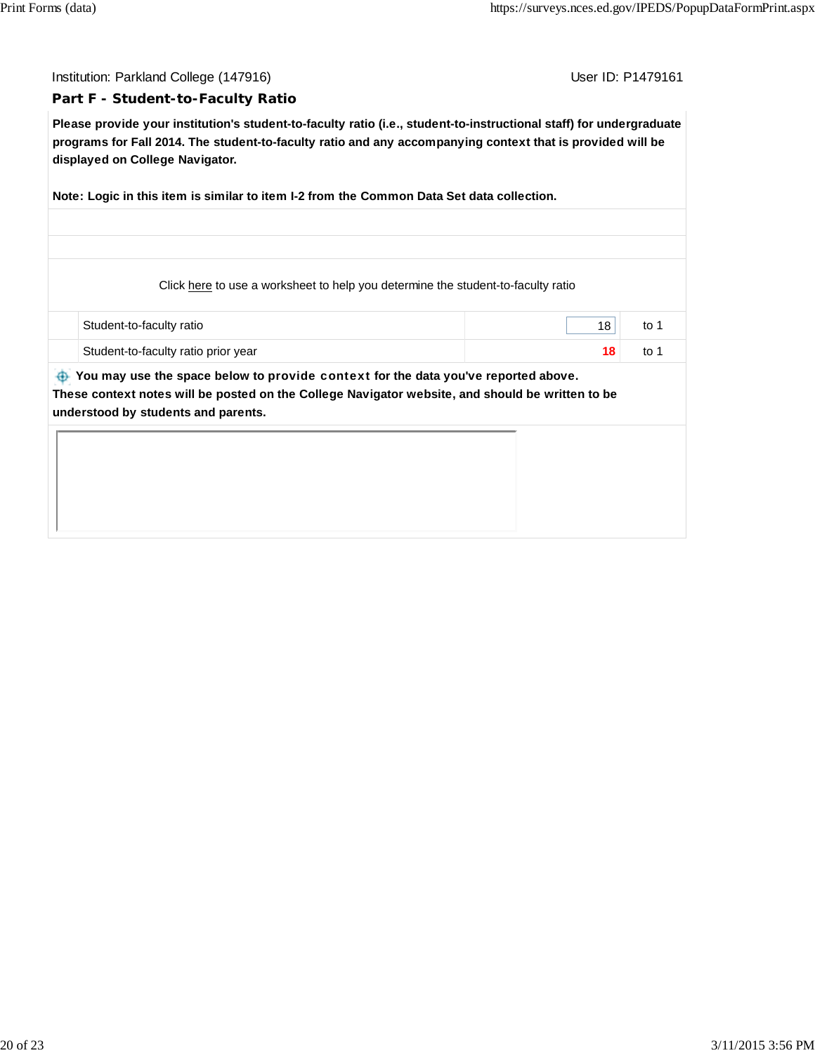Institution: Parkland College (147916) November 2012 12: P1479161

#### **Part F - Student-to-Faculty Ratio**

**Please provide your institution's student-to-faculty ratio (i.e., student-to-instructional staff) for undergraduate programs for Fall 2014. The student-to-faculty ratio and any accompanying context that is provided will be displayed on College Navigator.**

**Note: Logic in this item is similar to item I-2 from the Common Data Set data collection.**

Click here to use a worksheet to help you determine the student-to-faculty ratio

| Student-to-faculty ratio            | to |
|-------------------------------------|----|
| Student-to-faculty ratio prior year | to |

 **You may use the space below to** provide context **for the data you've reported above. These context notes will be posted on the College Navigator website, and should be written to be**

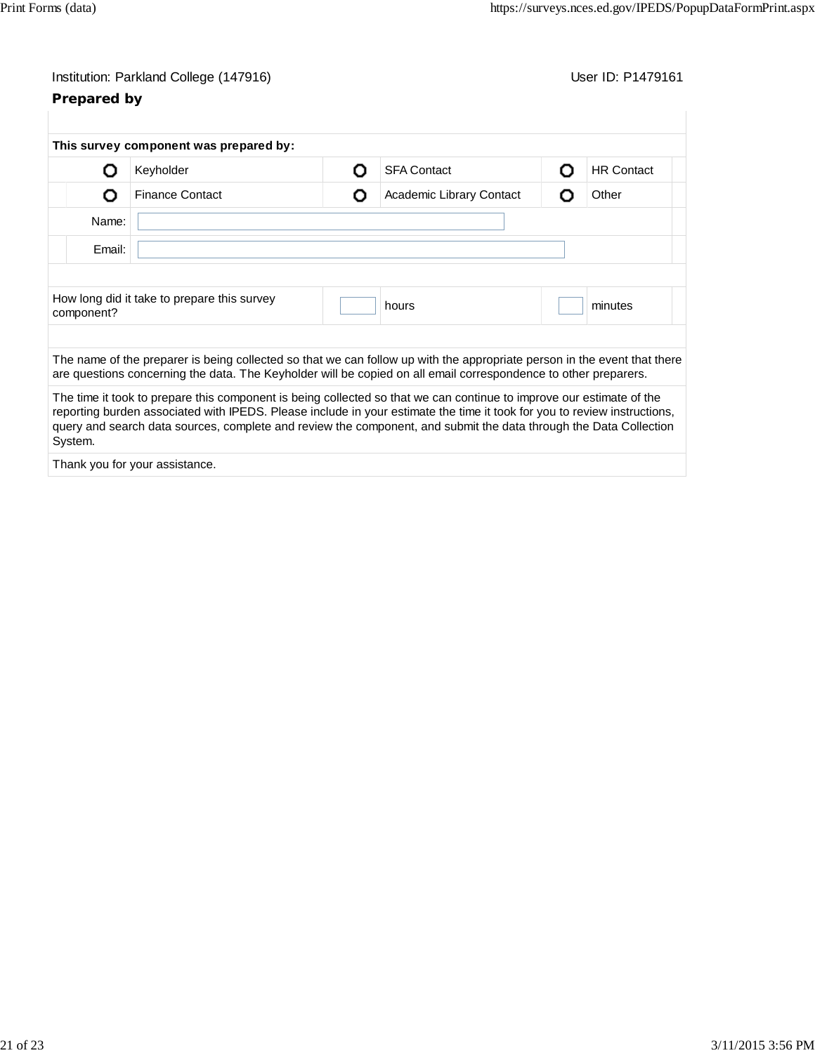# **Prepared by**

|            | This survey component was prepared by:                                                                                                                                                                                                                                                                                                                                |   |                          |   |                   |
|------------|-----------------------------------------------------------------------------------------------------------------------------------------------------------------------------------------------------------------------------------------------------------------------------------------------------------------------------------------------------------------------|---|--------------------------|---|-------------------|
| וו         | Keyholder                                                                                                                                                                                                                                                                                                                                                             | Ω | <b>SFA Contact</b>       | Ω | <b>HR Contact</b> |
| O          | <b>Finance Contact</b>                                                                                                                                                                                                                                                                                                                                                | Ω | Academic Library Contact | O | Other             |
| Name:      |                                                                                                                                                                                                                                                                                                                                                                       |   |                          |   |                   |
| Email:     |                                                                                                                                                                                                                                                                                                                                                                       |   |                          |   |                   |
|            |                                                                                                                                                                                                                                                                                                                                                                       |   |                          |   |                   |
| component? | How long did it take to prepare this survey                                                                                                                                                                                                                                                                                                                           |   | hours                    |   | minutes           |
|            | The name of the preparer is being collected so that we can follow up with the appropriate person in the event that there<br>are questions concerning the data. The Keyholder will be copied on all email correspondence to other preparers.                                                                                                                           |   |                          |   |                   |
| System.    | The time it took to prepare this component is being collected so that we can continue to improve our estimate of the<br>reporting burden associated with IPEDS. Please include in your estimate the time it took for you to review instructions,<br>query and search data sources, complete and review the component, and submit the data through the Data Collection |   |                          |   |                   |
|            | Thank you for your assistance.                                                                                                                                                                                                                                                                                                                                        |   |                          |   |                   |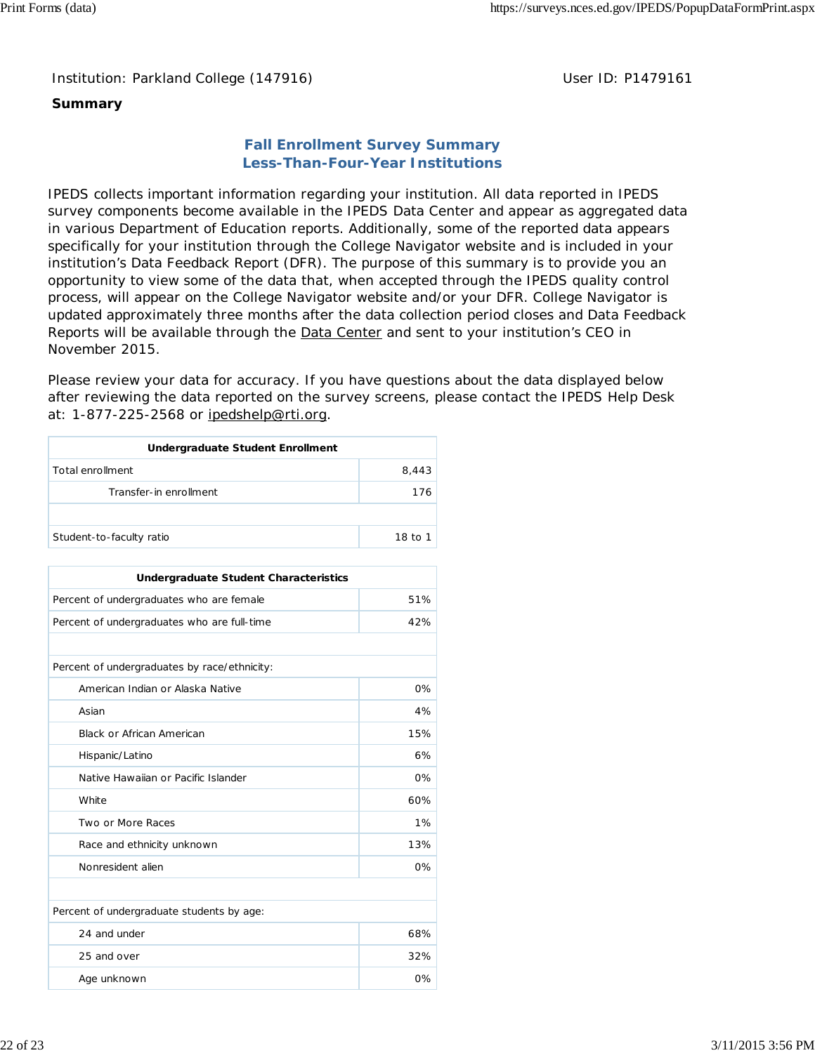### **Summary**

## **Fall Enrollment Survey Summary Less-Than-Four-Year Institutions**

IPEDS collects important information regarding your institution. All data reported in IPEDS survey components become available in the IPEDS Data Center and appear as aggregated data in various Department of Education reports. Additionally, some of the reported data appears specifically for your institution through the College Navigator website and is included in your institution's Data Feedback Report (DFR). The purpose of this summary is to provide you an opportunity to view some of the data that, when accepted through the IPEDS quality control process, will appear on the College Navigator website and/or your DFR. College Navigator is updated approximately three months after the data collection period closes and Data Feedback Reports will be available through the Data Center and sent to your institution's CEO in November 2015.

Please review your data for accuracy. If you have questions about the data displayed below after reviewing the data reported on the survey screens, please contact the IPEDS Help Desk at: 1-877-225-2568 or ipedshelp@rti.org.

| Undergraduate Student Enrollment |         |  |  |
|----------------------------------|---------|--|--|
| Total enrollment                 | 8,443   |  |  |
| Transfer-in enrollment           | 176     |  |  |
|                                  |         |  |  |
| Student-to-faculty ratio         | 18 to 1 |  |  |

| <b>Undergraduate Student Characteristics</b> |       |  |  |  |
|----------------------------------------------|-------|--|--|--|
| Percent of undergraduates who are female     | 51%   |  |  |  |
| Percent of undergraduates who are full-time  | 42%   |  |  |  |
|                                              |       |  |  |  |
| Percent of undergraduates by race/ethnicity: |       |  |  |  |
| American Indian or Alaska Native             | $0\%$ |  |  |  |
| Asian                                        | 4%    |  |  |  |
| <b>Black or African American</b>             | 15%   |  |  |  |
| Hispanic/Latino                              | 6%    |  |  |  |
| Native Hawaiian or Pacific Islander          | 0%    |  |  |  |
| White                                        | 60%   |  |  |  |
| Two or More Races                            | 1%    |  |  |  |
| Race and ethnicity unknown                   | 13%   |  |  |  |
| Nonresident alien                            | $0\%$ |  |  |  |
|                                              |       |  |  |  |
| Percent of undergraduate students by age:    |       |  |  |  |
| 24 and under                                 | 68%   |  |  |  |
| 25 and over                                  | 32%   |  |  |  |
| Age unknown                                  | 0%    |  |  |  |